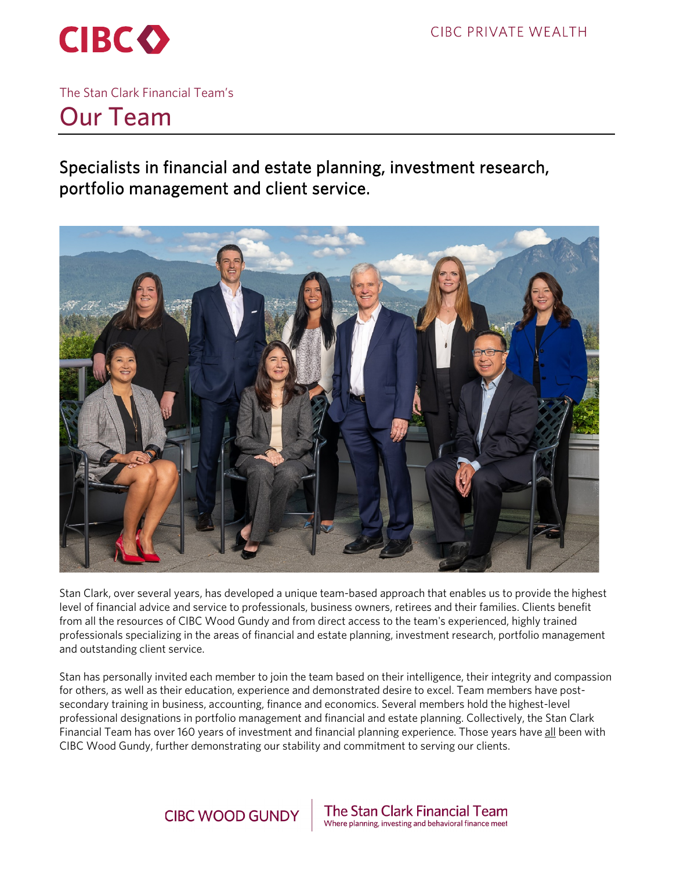

The Stan Clark Financial Team's

# Our Team

Specialists in financial and estate planning, investment research, portfolio management and client service.



Stan Clark, over several years, has developed a unique team-based approach that enables us to provide the highest level of financial advice and service to professionals, business owners, retirees and their families. Clients benefit from all the resources of CIBC Wood Gundy and from direct access to the team's experienced, highly trained professionals specializing in the areas of financial and estate planning, investment research, portfolio management and outstanding client service.

Stan has personally invited each member to join the team based on their intelligence, their integrity and compassion for others, as well as their education, experience and demonstrated desire to excel. Team members have postsecondary training in business, accounting, finance and economics. Several members hold the highest-level professional designations in portfolio management and financial and estate planning. Collectively, the Stan Clark Financial Team has over 160 years of investment and financial planning experience. Those years have all been with CIBC Wood Gundy, further demonstrating our stability and commitment to serving our clients.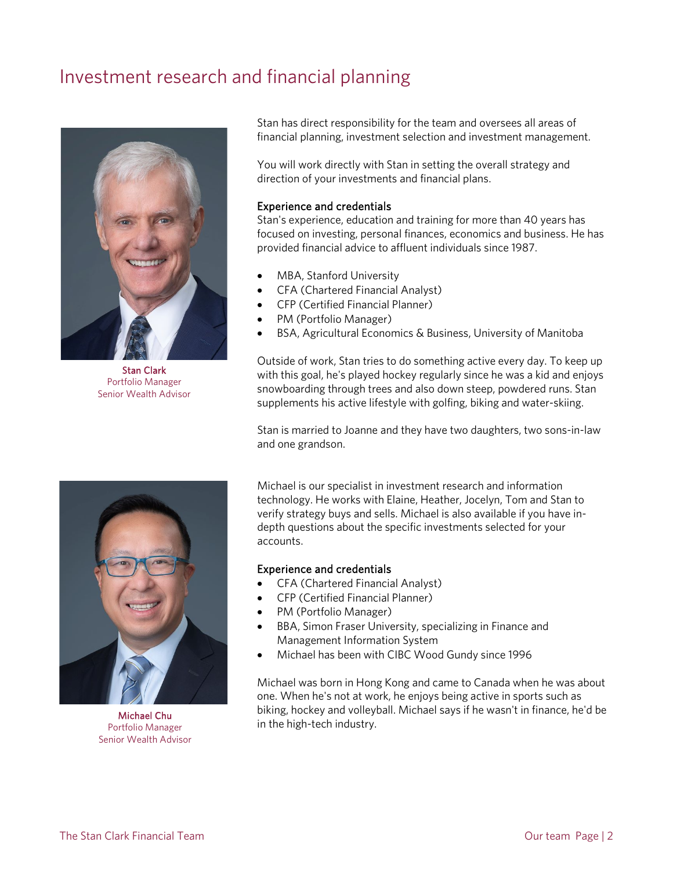## Investment research and financial planning



Stan Clark Portfolio Manager Senior Wealth Advisor

Stan has direct responsibility for the team and oversees all areas of financial planning, investment selection and investment management.

You will work directly with Stan in setting the overall strategy and direction of your investments and financial plans.

#### Experience and credentials

Stan's experience, education and training for more than 40 years has focused on investing, personal finances, economics and business. He has provided financial advice to affluent individuals since 1987.

- MBA, Stanford University
- CFA (Chartered Financial Analyst)
- CFP (Certified Financial Planner)
- PM (Portfolio Manager)
- BSA, Agricultural Economics & Business, University of Manitoba

Outside of work, Stan tries to do something active every day. To keep up with this goal, he's played hockey regularly since he was a kid and enjoys snowboarding through trees and also down steep, powdered runs. Stan supplements his active lifestyle with golfing, biking and water-skiing.

Stan is married to Joanne and they have two daughters, two sons-in-law and one grandson.

Michael is our specialist in investment research and information technology. He works with Elaine, Heather, Jocelyn, Tom and Stan to verify strategy buys and sells. Michael is also available if you have indepth questions about the specific investments selected for your accounts.

#### Experience and credentials

- CFA (Chartered Financial Analyst)
- CFP (Certified Financial Planner)
- PM (Portfolio Manager)
- BBA, Simon Fraser University, specializing in Finance and Management Information System
- Michael has been with CIBC Wood Gundy since 1996

Michael was born in Hong Kong and came to Canada when he was about one. When he's not at work, he enjoys being active in sports such as biking, hockey and volleyball. Michael says if he wasn't in finance, he'd be in the high-tech industry.



Michael Chu Portfolio Manager Senior Wealth Advisor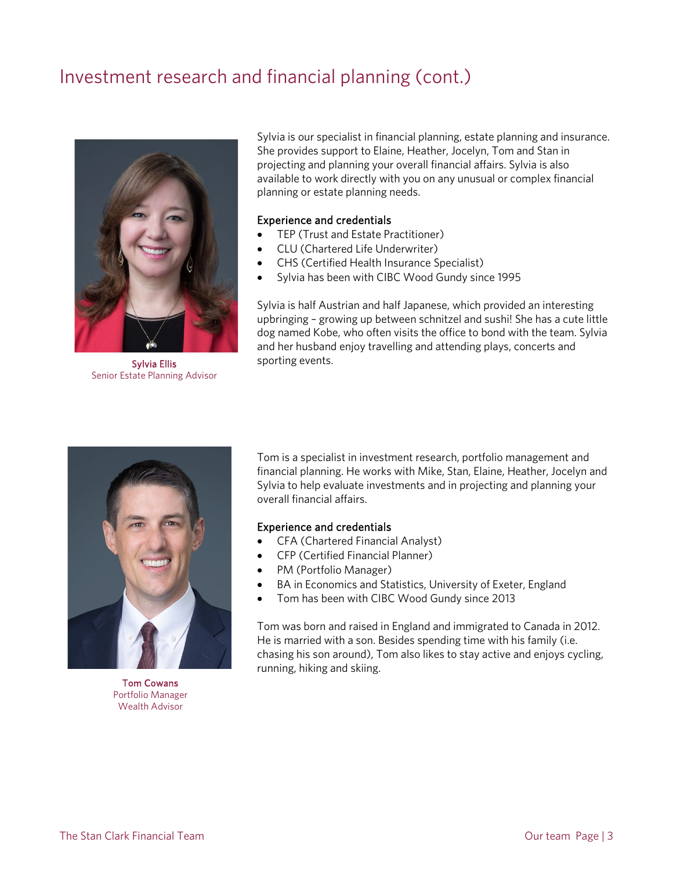## Investment research and financial planning (cont.)



Sylvia Ellis Senior Estate Planning Advisor

Sylvia is our specialist in financial planning, estate planning and insurance. She provides support to Elaine, Heather, Jocelyn, Tom and Stan in projecting and planning your overall financial affairs. Sylvia is also available to work directly with you on any unusual or complex financial planning or estate planning needs.

#### Experience and credentials

- TEP (Trust and Estate Practitioner)
- CLU (Chartered Life Underwriter)
- CHS (Certified Health Insurance Specialist)
- Sylvia has been with CIBC Wood Gundy since 1995

Sylvia is half Austrian and half Japanese, which provided an interesting upbringing – growing up between schnitzel and sushi! She has a cute little dog named Kobe, who often visits the office to bond with the team. Sylvia and her husband enjoy travelling and attending plays, concerts and sporting events.



Tom Cowans Portfolio Manager Wealth Advisor

Tom is a specialist in investment research, portfolio management and financial planning. He works with Mike, Stan, Elaine, Heather, Jocelyn and Sylvia to help evaluate investments and in projecting and planning your overall financial affairs.

#### Experience and credentials

- CFA (Chartered Financial Analyst)
- CFP (Certified Financial Planner)
- PM (Portfolio Manager)
- BA in Economics and Statistics, University of Exeter, England
- Tom has been with CIBC Wood Gundy since 2013

Tom was born and raised in England and immigrated to Canada in 2012. He is married with a son. Besides spending time with his family (i.e. chasing his son around), Tom also likes to stay active and enjoys cycling, running, hiking and skiing.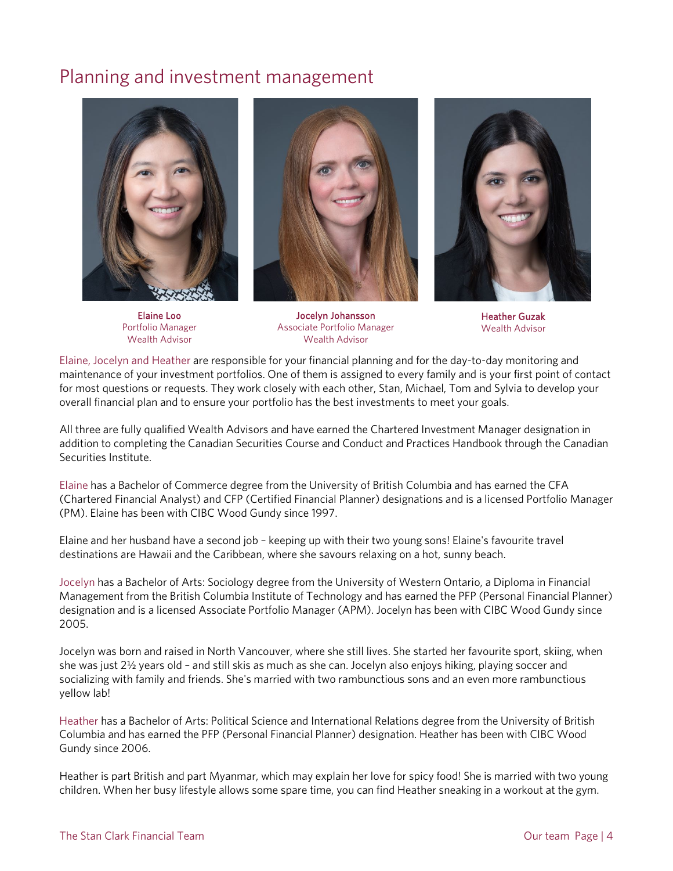### Planning and investment management



Elaine Loo Portfolio Manager Wealth Advisor



Jocelyn Johansson Associate Portfolio Manager Wealth Advisor



Heather Guzak Wealth Advisor

Elaine, Jocelyn and Heather are responsible for your financial planning and for the day-to-day monitoring and maintenance of your investment portfolios. One of them is assigned to every family and is your first point of contact for most questions or requests. They work closely with each other, Stan, Michael, Tom and Sylvia to develop your overall financial plan and to ensure your portfolio has the best investments to meet your goals.

All three are fully qualified Wealth Advisors and have earned the Chartered Investment Manager designation in addition to completing the Canadian Securities Course and Conduct and Practices Handbook through the Canadian Securities Institute.

Elaine has a Bachelor of Commerce degree from the University of British Columbia and has earned the CFA (Chartered Financial Analyst) and CFP (Certified Financial Planner) designations and is a licensed Portfolio Manager (PM). Elaine has been with CIBC Wood Gundy since 1997.

Elaine and her husband have a second job – keeping up with their two young sons! Elaine's favourite travel destinations are Hawaii and the Caribbean, where she savours relaxing on a hot, sunny beach.

Jocelyn has a Bachelor of Arts: Sociology degree from the University of Western Ontario, a Diploma in Financial Management from the British Columbia Institute of Technology and has earned the PFP (Personal Financial Planner) designation and is a licensed Associate Portfolio Manager (APM). Jocelyn has been with CIBC Wood Gundy since 2005.

Jocelyn was born and raised in North Vancouver, where she still lives. She started her favourite sport, skiing, when she was just 2½ years old – and still skis as much as she can. Jocelyn also enjoys hiking, playing soccer and socializing with family and friends. She's married with two rambunctious sons and an even more rambunctious yellow lab!

Heather has a Bachelor of Arts: Political Science and International Relations degree from the University of British Columbia and has earned the PFP (Personal Financial Planner) designation. Heather has been with CIBC Wood Gundy since 2006.

Heather is part British and part Myanmar, which may explain her love for spicy food! She is married with two young children. When her busy lifestyle allows some spare time, you can find Heather sneaking in a workout at the gym.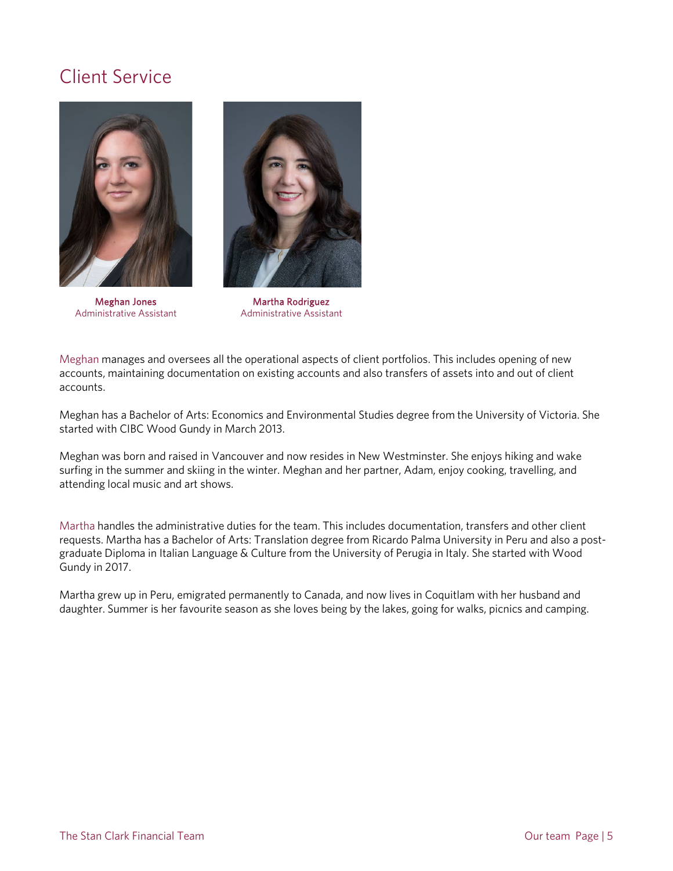## Client Service



Meghan Jones Administrative Assistant



Martha Rodriguez Administrative Assistant

Meghan manages and oversees all the operational aspects of client portfolios. This includes opening of new accounts, maintaining documentation on existing accounts and also transfers of assets into and out of client accounts.

Meghan has a Bachelor of Arts: Economics and Environmental Studies degree from the University of Victoria. She started with CIBC Wood Gundy in March 2013.

Meghan was born and raised in Vancouver and now resides in New Westminster. She enjoys hiking and wake surfing in the summer and skiing in the winter. Meghan and her partner, Adam, enjoy cooking, travelling, and attending local music and art shows.

Martha handles the administrative duties for the team. This includes documentation, transfers and other client requests. Martha has a Bachelor of Arts: Translation degree from Ricardo Palma University in Peru and also a postgraduate Diploma in Italian Language & Culture from the University of Perugia in Italy. She started with Wood Gundy in 2017.

Martha grew up in Peru, emigrated permanently to Canada, and now lives in Coquitlam with her husband and daughter. Summer is her favourite season as she loves being by the lakes, going for walks, picnics and camping.